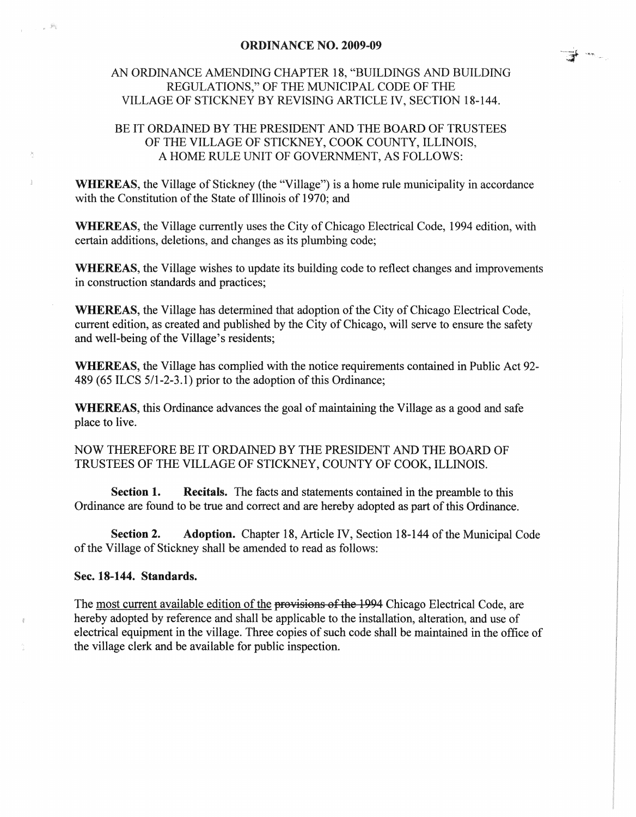## ORDINANCE NO. 2009-09

## AN ORDINANCE AMENDING CHAPTER 18, "BUILDINGS AND BUILDING REGULATIONS," OF THE MUNICIPAL CODE OF THE VILLAGE OF STICKNEY BY REVISING ARTICLE IV, SECTION 18-144.

## BE IT ORDAINED BY THE PRESIDENT AND THE BOARD OF TRUSTEES OF THE VILLAGE OF STICKNEY, COOK COUNTY, ILLINOIS, A HOME RULE UNIT OF GOVERNMENT, AS FOLLOWS:

WHEREAS, the Village of Stickney (the "Village") is a home rule municipality in accordance with the Constitution of the State of Illinois of 1970; and

WHEREAS, the Village currently uses the City of Chicago Electrical Code, 1994 edition, with certain additions, deletions, and changes as its plumbing code;

WHEREAS, the Village wishes to update its building code to reflect changes and improvements in construction standards and practices;

WHEREAS, the Village has determined that adoption of the City of Chicago Electrical Code, current edition, as created and published by the City of Chicago, will serve to ensure the safety and well-being of the Village's residents;

WHEREAS, the Village has complied with the notice requirements contained in Public Act 92- 489 (65 ILCS 5/1-2-3.1) prior to the adoption of this Ordinance;

WHEREAS, this Ordinance advances the goal of maintaining the Village as a good and safe place to live.

NOW THEREFORE BE IT ORDAINED BY THE PRESIDENT AND THE BOARD OF TRUSTEES OF THE VILLAGE OF STICKNEY, COUNTY OF COOK, ILLINOIS.

Section 1. Recitals. The facts and statements contained in the preamble to this Ordinance are found to be tme and correct and are hereby adopted as part of this Ordinance.

Section 2. Adoption. Chapter 18, Article IV, Section 18-144 of the Municipal Code of the Village of Stickney shall be amended to read as follows:

## Sec. 18-144. Standards.

The most current available edition of the provisions of the 1994 Chicago Electrical Code, are hereby adopted by reference and shall be applicable to the installation, alteration, and use of electrical equipment in the village. Three copies of such code shall be maintained in the office of the village clerk and be available for public inspection.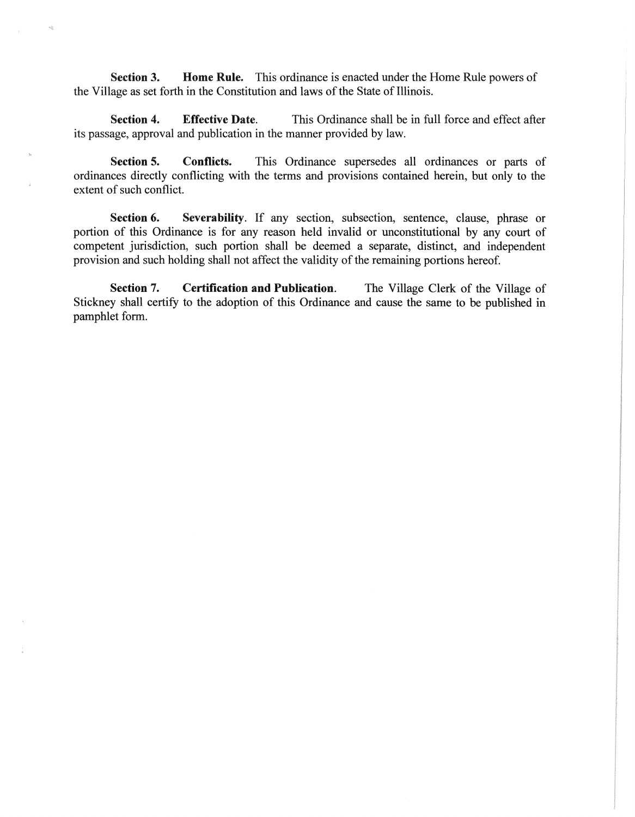Section 3. Home Rule. This ordinance is enacted under the Home Rule powers of the Village as set forth in the Constitution and laws of the State of Illinois.

Section 4. Effective Date. This Ordinance shall be in full force and effect after its passage, approval and publication in the manner provided by law.

Section 5. Conflicts. This Ordinance supersedes all ordinances or parts of ordinances directly conflicting with the terms and provisions contained herein, but only to the extent of such conflict.

Section 6. Severability. If any section, subsection, sentence, clause, phrase or portion of this Ordinance is for any reason held invalid or unconstitutional by any court of competent jurisdiction, such portion shall be deemed a separate, distinct, and independent provision and such holding shall not affect the validity of the remaining portions hereof.

Section 7. Certification and Publication. The Village Clerk of the Village of Stickney shall certify to the adoption of this Ordinance and cause the same to be published in pamphlet form.